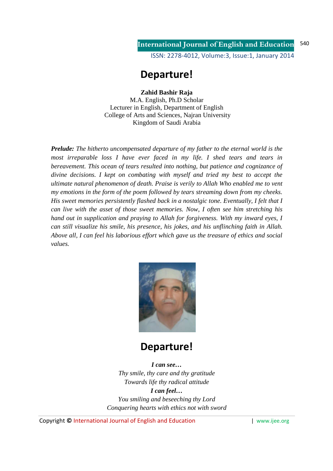### **International Journal of English and Education** ISSN: 2278-4012, Volume:3, Issue:1, January 2014 540

# **Departure!**

### **Zahid Bashir Raja**

M.A. English, Ph.D Scholar Lecturer in English, Department of English College of Arts and Sciences, Najran University Kingdom of Saudi Arabia

*Prelude: The hitherto uncompensated departure of my father to the eternal world is the most irreparable loss I have ever faced in my life. I shed tears and tears in bereavement. This ocean of tears resulted into nothing, but patience and cognizance of divine decisions. I kept on combating with myself and tried my best to accept the ultimate natural phenomenon of death. Praise is verily to Allah Who enabled me to vent my emotions in the form of the poem followed by tears streaming down from my cheeks. His sweet memories persistently flashed back in a nostalgic tone. Eventually, I felt that I can live with the asset of those sweet memories. Now, I often see him stretching his hand out in supplication and praying to Allah for forgiveness. With my inward eyes, I can still visualize his smile, his presence, his jokes, and his unflinching faith in Allah. Above all, I can feel his laborious effort which gave us the treasure of ethics and social values.* 



# **Departure!**

*I can see… Thy smile, thy care and thy gratitude Towards life thy radical attitude I can feel… You smiling and beseeching thy Lord Conquering hearts with ethics not with sword* 

Copyright **©** International Journal of English and Education | www.ijee.org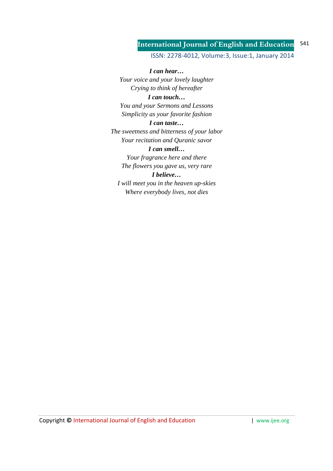#### **International Journal of English and Education** 541

### ISSN: 2278-4012, Volume:3, Issue:1, January 2014

*I can hear… Your voice and your lovely laughter Crying to think of hereafter I can touch… You and your Sermons and Lessons Simplicity as your favorite fashion I can taste… The sweetness and bitterness of your labor Your recitation and Quranic savor I can smell… Your fragrance here and there The flowers you gave us, very rare I believe… I will meet you in the heaven up-skies Where everybody lives, not dies*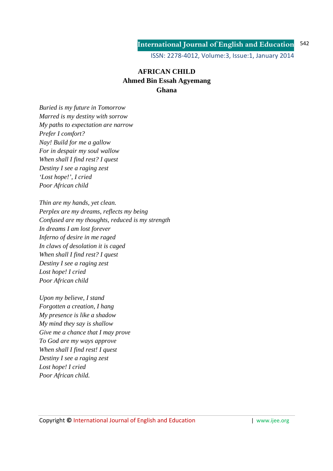#### **International Journal of English and Education** 542

ISSN: 2278-4012, Volume:3, Issue:1, January 2014

## **AFRICAN CHILD Ahmed Bin Essah Agyemang Ghana**

*Buried is my future in Tomorrow Marred is my destiny with sorrow My paths to expectation are narrow Prefer I comfort? Nay! Build for me a gallow For in despair my soul wallow When shall I find rest? I quest Destiny I see a raging zest 'Lost hope!', I cried Poor African child* 

*Thin are my hands, yet clean. Perplex are my dreams, reflects my being Confused are my thoughts, reduced is my strength In dreams I am lost forever Inferno of desire in me raged In claws of desolation it is caged When shall I find rest? I quest Destiny I see a raging zest Lost hope! I cried Poor African child* 

*Upon my believe, I stand Forgotten a creation, I hang My presence is like a shadow My mind they say is shallow Give me a chance that I may prove To God are my ways approve When shall I find rest! I quest Destiny I see a raging zest Lost hope! I cried Poor African child.*